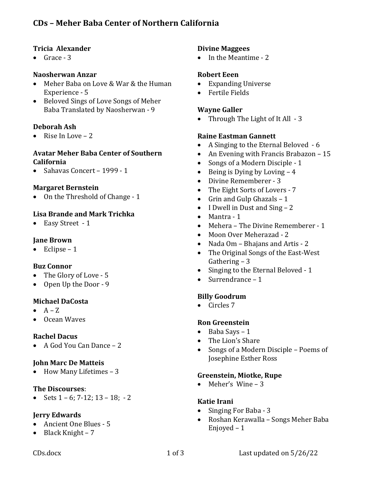# **CDs – Meher Baba Center of Northern California**

#### **Tricia Alexander**

Grace - 3

### **Naosherwan Anzar**

- Meher Baba on Love & War & the Human Experience - 5
- Beloved Sings of Love Songs of Meher Baba Translated by Naosherwan - 9

### **Deborah Ash**

Rise In Love  $-2$ 

#### **Avatar Meher Baba Center of Southern California**

Sahavas Concert - 1999 - 1

### **Margaret Bernstein**

 $\bullet$  On the Threshold of Change - 1

## **Lisa Brande and Mark Trichka**

• Easy Street - 1

## **Jane Brown**

Eclipse  $-1$ 

## **Buz Connor**

- The Glory of Love 5
- Open Up the Door 9

## **Michael DaCosta**

- $\bullet$   $A Z$
- Ocean Waves

## **Rachel Dacus**

• A God You Can Dance - 2

## **John Marc De Matteis**

How Many Lifetimes - 3

## **The Discourses**:

Sets  $1 - 6$ ;  $7 - 12$ ;  $13 - 18$ ;  $- 2$ 

## **Jerry Edwards**

- Ancient One Blues 5
- Black Knight 7

#### **Divine Maggees**

• In the Meantime - 2

## **Robert Eeen**

- **Expanding Universe**
- Fertile Fields

### **Wayne Galler**

• Through The Light of It All  $-3$ 

### **Raine Eastman Gannett**

- A Singing to the Eternal Beloved 6
- An Evening with Francis Brabazon  $-15$
- Songs of a Modern Disciple 1
- Being is Dying by Loving  $-4$
- Divine Rememberer 3
- The Eight Sorts of Lovers 7
- Grin and Gulp Ghazals  $-1$
- I Dwell in Dust and Sing  $-2$
- $\bullet$  Mantra 1
- Mehera The Divine Rememberer 1
- Moon Over Meherazad 2
- Nada Om Bhajans and Artis 2
- The Original Songs of the East-West Gathering  $-3$
- Singing to the Eternal Beloved 1
- Surrendrance  $-1$

## **Billy Goodrum**

• Circles 7

#### **Ron Greenstein**

- $\bullet$  Baba Says 1
- The Lion's Share
- Songs of a Modern Disciple Poems of Josephine Esther Ross

#### **Greenstein, Miotke, Rupe**

• Meher's Wine  $-3$ 

#### **Katie Irani**

- Singing For Baba 3
- Roshan Kerawalla Songs Meher Baba Enjoyed  $-1$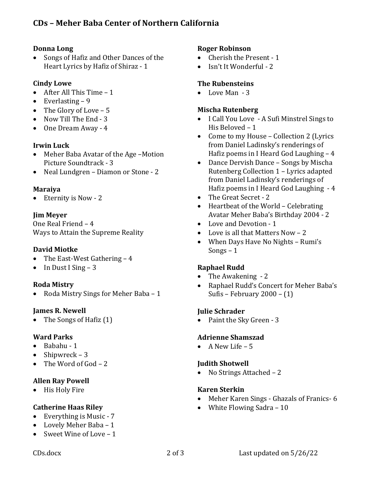## **Donna Long**

Songs of Hafiz and Other Dances of the Heart Lyrics by Hafiz of Shiraz - 1

## **Cindy Lowe**

- After All This Time  $-1$
- Everlasting  $-9$
- The Glory of Love  $-5$
- $\bullet$  Now Till The End 3
- One Dream Away 4

## **Irwin** Luck

- Meher Baba Avatar of the Age -Motion Picture Soundtrack - 3
- Neal Lundgren Diamon or Stone 2

### **Maraiya**

Eternity is Now - 2

## **Jim Meyer**

One Real Friend - 4 Ways to Attain the Supreme Reality

## **David Miotke**

- The East-West Gathering  $-4$
- In Dust I Sing 3

## **Roda Mistry**

Roda Mistry Sings for Meher Baba - 1

## **James R. Newell**

The Songs of Hafiz  $(1)$ 

## **Ward Parks**

- $\bullet$  Babahu 1
- Shipwreck  $-3$
- The Word of God  $-2$

## **Allen Ray Powell**

• His Holy Fire

## **Catherine Haas Riley**

- Everything is Music  $-7$
- Lovely Meher Baba – 1
- Sweet Wine of Love  $-1$

## **Roger Robinson**

- $\bullet$  Cherish the Present 1
- Isn't It Wonderful 2

## **The Rubensteins**

 $\bullet$  Love Man  $-3$ 

## **Mischa Rutenberg**

- I Call You Love A Sufi Minstrel Sings to His Beloved  $-1$
- Come to my House Collection 2 (Lyrics from Daniel Ladinsky's renderings of Hafiz poems in I Heard God Laughing  $-4$
- Dance Dervish Dance Songs by Mischa Rutenberg Collection 1 - Lyrics adapted from Daniel Ladinsky's renderings of Hafiz poems in I Heard God Laughing  $-4$
- The Great Secret 2
- Heartbeat of the World Celebrating Avatar Meher Baba's Birthday 2004 - 2
- Love and Devotion 1
- Love is all that Matters Now  $-2$
- When Days Have No Nights Rumi's Songs  $-1$

## **Raphael Rudd**

- The Awakening  $-2$
- Raphael Rudd's Concert for Meher Baba's Sufis – February  $2000 - (1)$

## **Julie Schrader**

• Paint the Sky Green - 3

## **Adrienne Shamszad**

• A New Life  $-5$ 

## *<u>Iudith Shotwell</u>*

• No Strings Attached – 2

## **Karen Sterkin**

- Meher Karen Sings Ghazals of Franics- 6
- White Flowing Sadra  $-10$